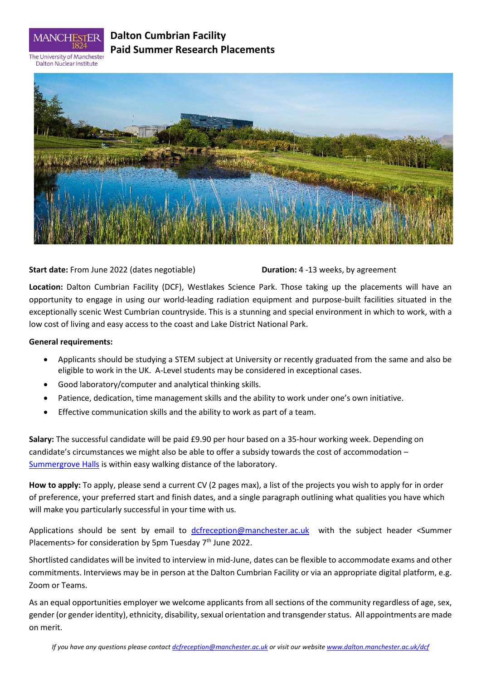

# **Dalton Cumbrian Facility Paid Summer Research Placements**

The University of Manchester **Dalton Nuclear Institute** 



## **Start date:** From June 2022 (dates negotiable) **Duration:** 4 -13 weeks, by agreement

**Location:** Dalton Cumbrian Facility (DCF), Westlakes Science Park. Those taking up the placements will have an opportunity to engage in using our world-leading radiation equipment and purpose-built facilities situated in the exceptionally scenic West Cumbrian countryside. This is a stunning and special environment in which to work, with a low cost of living and easy access to the coast and Lake District National Park.

### **General requirements:**

- Applicants should be studying a STEM subject at University or recently graduated from the same and also be eligible to work in the UK. A-Level students may be considered in exceptional cases.
- Good laboratory/computer and analytical thinking skills.
- Patience, dedication, time management skills and the ability to work under one's own initiative.
- Effective communication skills and the ability to work as part of a team.

**Salary:** The successful candidate will be paid £9.90 per hour based on a 35-hour working week. Depending on candidate's circumstances we might also be able to offer a subsidy towards the cost of accommodation – [Summergrove Halls](https://summergrovehalls.co.uk/) is within easy walking distance of the laboratory.

**How to apply:** To apply, please send a current CV (2 pages max), a list of the projects you wish to apply for in order of preference, your preferred start and finish dates, and a single paragraph outlining what qualities you have which will make you particularly successful in your time with us.

Applications should be sent by email to [dcfreception@manchester.ac.uk](mailto:dcfreception@manchester.ac.uk) with the subject header <Summer Placements > for consideration by 5pm Tuesday  $7<sup>th</sup>$  June 2022.

Shortlisted candidates will be invited to interview in mid-June, dates can be flexible to accommodate exams and other commitments. Interviews may be in person at the Dalton Cumbrian Facility or via an appropriate digital platform, e.g. Zoom or Teams.

As an equal opportunities employer we welcome applicants from all sections of the community regardless of age, sex, gender (or gender identity), ethnicity, disability, sexual orientation and transgender status. All appointments are made on merit.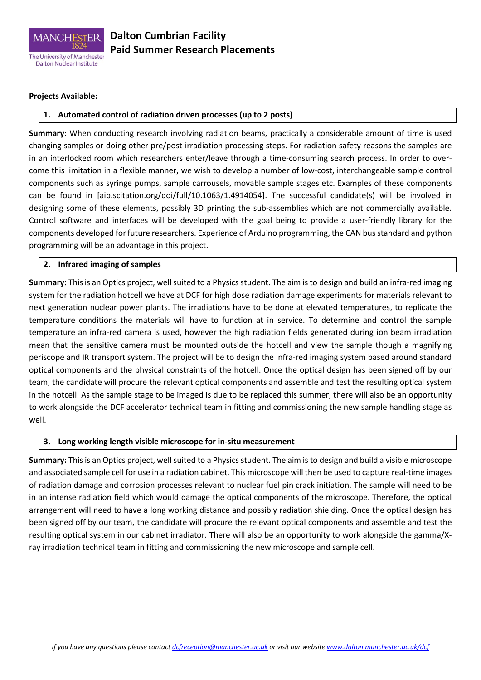

# **Dalton Cumbrian Facility Paid Summer Research Placements**

#### **Projects Available:**

### **1. Automated control of radiation driven processes (up to 2 posts)**

**Summary:** When conducting research involving radiation beams, practically a considerable amount of time is used changing samples or doing other pre/post-irradiation processing steps. For radiation safety reasons the samples are in an interlocked room which researchers enter/leave through a time-consuming search process. In order to overcome this limitation in a flexible manner, we wish to develop a number of low-cost, interchangeable sample control components such as syringe pumps, sample carrousels, movable sample stages etc. Examples of these components can be found in [aip.scitation.org/doi/full/10.1063/1.4914054]. The successful candidate(s) will be involved in designing some of these elements, possibly 3D printing the sub-assemblies which are not commercially available. Control software and interfaces will be developed with the goal being to provide a user-friendly library for the components developed for future researchers. Experience of Arduino programming, the CAN bus standard and python programming will be an advantage in this project.

#### **2. Infrared imaging of samples**

**Summary:** This is an Optics project, well suited to a Physics student. The aim is to design and build an infra-red imaging system for the radiation hotcell we have at DCF for high dose radiation damage experiments for materials relevant to next generation nuclear power plants. The irradiations have to be done at elevated temperatures, to replicate the temperature conditions the materials will have to function at in service. To determine and control the sample temperature an infra-red camera is used, however the high radiation fields generated during ion beam irradiation mean that the sensitive camera must be mounted outside the hotcell and view the sample though a magnifying periscope and IR transport system. The project will be to design the infra-red imaging system based around standard optical components and the physical constraints of the hotcell. Once the optical design has been signed off by our team, the candidate will procure the relevant optical components and assemble and test the resulting optical system in the hotcell. As the sample stage to be imaged is due to be replaced this summer, there will also be an opportunity to work alongside the DCF accelerator technical team in fitting and commissioning the new sample handling stage as well.

#### **3. Long working length visible microscope for in-situ measurement**

**Summary:** This is an Optics project, well suited to a Physics student. The aim is to design and build a visible microscope and associated sample cell for use in a radiation cabinet. This microscope will then be used to capture real-time images of radiation damage and corrosion processes relevant to nuclear fuel pin crack initiation. The sample will need to be in an intense radiation field which would damage the optical components of the microscope. Therefore, the optical arrangement will need to have a long working distance and possibly radiation shielding. Once the optical design has been signed off by our team, the candidate will procure the relevant optical components and assemble and test the resulting optical system in our cabinet irradiator. There will also be an opportunity to work alongside the gamma/Xray irradiation technical team in fitting and commissioning the new microscope and sample cell.